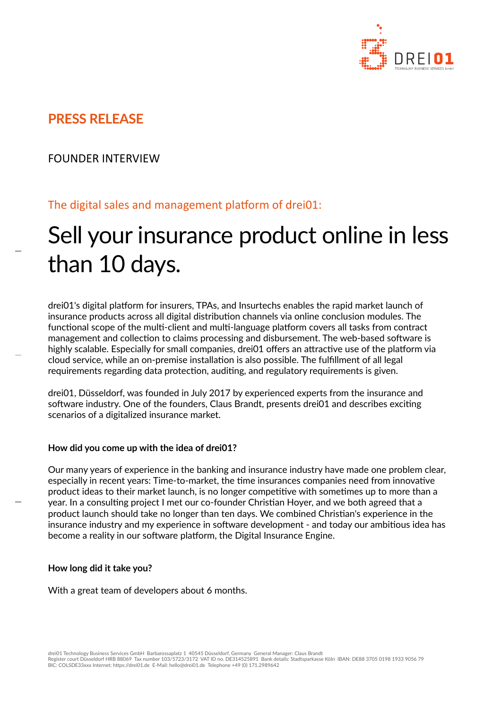

# **PRESS RELEASE**

### FOUNDER INTERVIEW

## The digital sales and management platform of drei01:

# Sell your insurance product online in less than 10 days.

drei01's digital platform for insurers, TPAs, and Insurtechs enables the rapid market launch of insurance products across all digital distribution channels via online conclusion modules. The functional scope of the multi-client and multi-language platform covers all tasks from contract management and collection to claims processing and disbursement. The web-based software is highly scalable. Especially for small companies, drei01 offers an attractive use of the platform via cloud service, while an on-premise installation is also possible. The fulfillment of all legal requirements regarding data protection, auditing, and regulatory requirements is given.

drei01, Düsseldorf, was founded in July 2017 by experienced experts from the insurance and software industry. One of the founders, Claus Brandt, presents drei01 and describes exciting scenarios of a digitalized insurance market.

#### **How did you come up with the idea of drei01?**

Our many years of experience in the banking and insurance industry have made one problem clear, especially in recent years: Time-to-market, the time insurances companies need from innovative product ideas to their market launch, is no longer competitive with sometimes up to more than a year. In a consulting project I met our co-founder Christian Hoyer, and we both agreed that a product launch should take no longer than ten days. We combined Christian's experience in the insurance industry and my experience in software development - and today our ambitious idea has become a reality in our software platform, the Digital Insurance Engine.

#### **How long did it take you?**

With a great team of developers about 6 months.

drei01 Technology Business Services GmbH Barbarossaplatz 1 40545 Düsseldorf, Germany General Manager: Claus Brandt Register court Düsseldorf HRB 88069 Tax number 103/5723/3172 VAT ID no. DE314525891 Bank details: Stadtsparkasse Köln IBAN: DE88 3705 0198 1933 9056 79<br>BIC: COLSDE33xxx Internet: https://drei01.de E-Mail: hello@drei01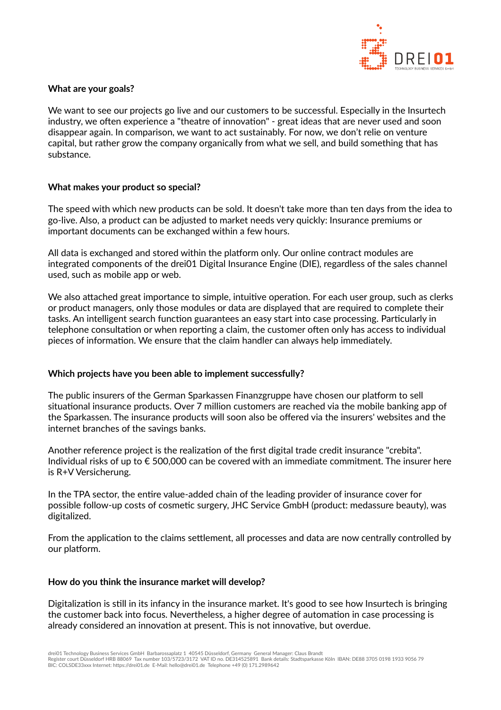

#### **What are your goals?**

We want to see our projects go live and our customers to be successful. Especially in the Insurtech industry, we often experience a "theatre of innovation" - great ideas that are never used and soon disappear again. In comparison, we want to act sustainably. For now, we don't relie on venture capital, but rather grow the company organically from what we sell, and build something that has substance.

#### **What makes your product so special?**

The speed with which new products can be sold. It doesn't take more than ten days from the idea to go-live. Also, a product can be adjusted to market needs very quickly: Insurance premiums or important documents can be exchanged within a few hours.

All data is exchanged and stored within the platform only. Our online contract modules are integrated components of the drei01 Digital Insurance Engine (DIE), regardless of the sales channel used, such as mobile app or web.

We also attached great importance to simple, intuitive operation. For each user group, such as clerks or product managers, only those modules or data are displayed that are required to complete their tasks. An intelligent search function guarantees an easy start into case processing. Particularly in telephone consultation or when reporting a claim, the customer often only has access to individual pieces of information. We ensure that the claim handler can always help immediately.

#### **Which projects have you been able to implement successfully?**

The public insurers of the German Sparkassen Finanzgruppe have chosen our platform to sell situational insurance products. Over 7 million customers are reached via the mobile banking app of the Sparkassen. The insurance products will soon also be offered via the insurers' websites and the internet branches of the savings banks.

Another reference project is the realization of the first digital trade credit insurance "crebita". Individual risks of up to € 500,000 can be covered with an immediate commitment. The insurer here is R+V Versicherung.

In the TPA sector, the entire value-added chain of the leading provider of insurance cover for possible follow-up costs of cosmetic surgery, JHC Service GmbH (product: medassure beauty), was digitalized.

From the application to the claims settlement, all processes and data are now centrally controlled by our platform.

#### **How do you think the insurance market will develop?**

Digitalization is still in its infancy in the insurance market. It's good to see how Insurtech is bringing the customer back into focus. Nevertheless, a higher degree of automation in case processing is already considered an innovation at present. This is not innovative, but overdue.

Register court Düsseldorf HRB 88069 Tax number 103/5723/3172 VAT ID no. DE314525891 Bank details: Stadtsparkasse Köln IBAN: DE88 3705 0198 1933 9056 79<br>BIC: COLSDE33xxx Internet: https://drei01.de E-Mail: hello@drei01